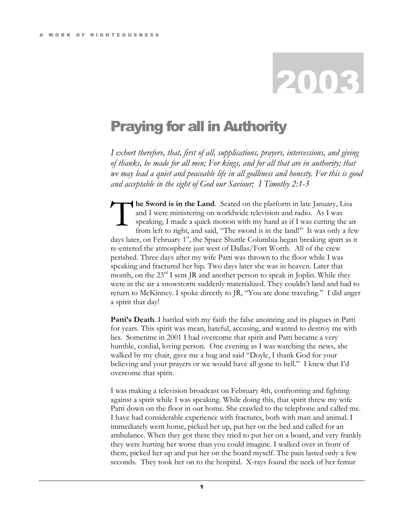## 2003

## Praying for all in Authority

I exhort therefore, that, first of all, supplications, prayers, intercessions, and giving of thanks, be made for all men; For kings, and for all that are in authority; that we may lead a quiet and peaceable life in all godliness and honesty. For this is good and acceptable in the sight of God our Saviour; I Timothy 2:1-3

he Sword is in the Land. Seated on the platform in late January, Lisa and I were ministering on worldwide television and radio. As I was speaking, I made a quick motion with my hand as if I was cutting the air from left to right, and said, "The sword is in the land!" It was only a few days later, on February  $1<sup>st</sup>$ , the Space Shuttle Columbia began breaking apart as it re-entered the atmosphere just west of Dallas/Fort Worth. All of the crew perished. Three days after my wife Patti was thrown to the floor while I was speaking and fractured her hip. Two days later she was in heaven. Later that month, on the  $23<sup>rd</sup>$  I sent JR and another person to speak in Joplin. While they were in the air a snowstorm suddenly materialized. They couldn't land and had to return to McKinney. I spoke directly to JR, "You are done traveling." I did anger a spirit that day! T

**Patti's Death.** I battled with my faith the false anointing and its plagues in Patti for years. This spirit was mean, hateful, accusing, and wanted to destroy me with lies. Sometime in 2001 I had overcome that spirit and Patti became a very humble, cordial, loving person. One evening as I was watching the news, she walked by my chair, gave me a hug and said "Doyle, I thank God for your believing and your prayers or we would have all gone to hell." I knew that I'd overcome that spirit.

I was making a television broadcast on February 4th, confronting and fighting against a spirit while I was speaking. While doing this, that spirit threw my wife Patti down on the floor in our home. She crawled to the telephone and called me. I have had considerable experience with fractures, both with man and animal. I immediately went home, picked her up, put her on the bed and called for an ambulance. When they got there they tried to put her on a board, and very frankly they were hurting her worse than you could imagine. I walked over in front of them, picked her up and put her on the board myself. The pain lasted only a few seconds. They took her on to the hospital. X-rays found the neck of her femur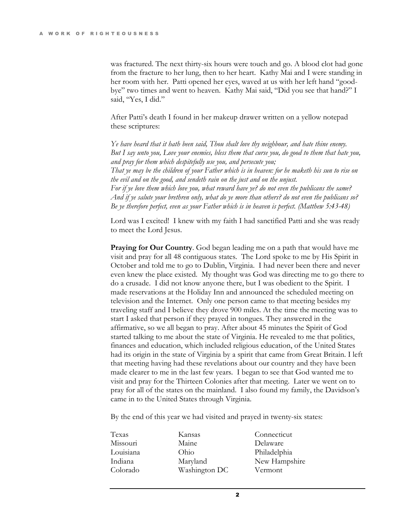was fractured. The next thirty-six hours were touch and go. A blood clot had gone from the fracture to her lung, then to her heart. Kathy Mai and I were standing in her room with her. Patti opened her eyes, waved at us with her left hand "goodbye" two times and went to heaven. Kathy Mai said, "Did you see that hand?" I said, "Yes, I did."

After Patti's death I found in her makeup drawer written on a yellow notepad these scriptures:

Ye have heard that it hath been said, Thou shalt love thy neighbour, and hate thine enemy. But I say unto you, Love your enemies, bless them that curse you, do good to them that hate you, and pray for them which despitefully use you, and persecute you; That ye may be the children of your Father which is in heaven: for he maketh his sun to rise on the evil and on the good, and sendeth rain on the just and on the unjust. For if ye love them which love you, what reward have ye? do not even the publicans the same? And if ye salute your brethren only, what do ye more than others? do not even the publicans so? Be ye therefore perfect, even as your Father which is in heaven is perfect. (Matthew 5:43-48)

Lord was I excited! I knew with my faith I had sanctified Patti and she was ready to meet the Lord Jesus.

**Praying for Our Country.** God began leading me on a path that would have me visit and pray for all 48 contiguous states. The Lord spoke to me by His Spirit in October and told me to go to Dublin, Virginia. I had never been there and never even knew the place existed. My thought was God was directing me to go there to do a crusade. I did not know anyone there, but I was obedient to the Spirit. I made reservations at the Holiday Inn and announced the scheduled meeting on television and the Internet. Only one person came to that meeting besides my traveling staff and I believe they drove 900 miles. At the time the meeting was to start I asked that person if they prayed in tongues. They answered in the affirmative, so we all began to pray. After about 45 minutes the Spirit of God started talking to me about the state of Virginia. He revealed to me that politics, finances and education, which included religious education, of the United States had its origin in the state of Virginia by a spirit that came from Great Britain. I left that meeting having had these revelations about our country and they have been made clearer to me in the last few years. I began to see that God wanted me to visit and pray for the Thirteen Colonies after that meeting. Later we went on to pray for all of the states on the mainland. I also found my family, the Davidson's came in to the United States through Virginia.

By the end of this year we had visited and prayed in twenty-six states:

| Texas     | Kansas        | Connecticut   |
|-----------|---------------|---------------|
| Missouri  | Maine         | Delaware      |
| Louisiana | Ohio          | Philadelphia  |
| Indiana   | Maryland      | New Hampshire |
| Colorado  | Washington DC | Vermont       |